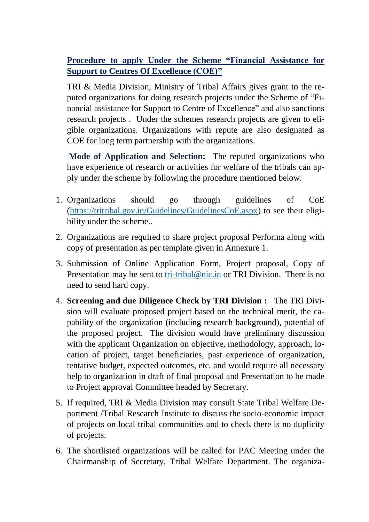## **Procedure to apply Under the Scheme "Financial Assistance for Support to Centres Of Excellence (COE)"**

TRI & Media Division, Ministry of Tribal Affairs gives grant to the reputed organizations for doing research projects under the Scheme of "Financial assistance for Support to Centre of Excellence" and also sanctions research projects . Under the schemes research projects are given to eligible organizations. Organizations with repute are also designated as COE for long term partnership with the organizations.

**Mode of Application and Selection:** The reputed organizations who have experience of research or activities for welfare of the tribals can apply under the scheme by following the procedure mentioned below.

- 1. Organizations should go through guidelines of CoE [\(https://tritribal.gov.in/Guidelines/GuidelinesCoE.aspx\)](https://tritribal.gov.in/Guidelines/GuidelinesCoE.aspx) to see their eligibility under the scheme...
- 2. Organizations are required to share project proposal Performa along with copy of presentation as per template given in Annexure 1.
- 3. Submission of Online Application Form, Project proposal, Copy of Presentation may be sent to [tri-tribal@nic.in](mailto:tri-tribal@nic.in) or TRI Division. There is no need to send hard copy.
- 4. **Screening and due Diligence Check by TRI Division :** The TRI Division will evaluate proposed project based on the technical merit, the capability of the organization (including research background), potential of the proposed project. The division would have preliminary discussion with the applicant Organization on objective, methodology, approach, location of project, target beneficiaries, past experience of organization, tentative budget, expected outcomes, etc. and would require all necessary help to organization in draft of final proposal and Presentation to be made to Project approval Committee headed by Secretary.
- 5. If required, TRI & Media Division may consult State Tribal Welfare Department /Tribal Research Institute to discuss the socio-economic impact of projects on local tribal communities and to check there is no duplicity of projects.
- 6. The shortlisted organizations will be called for PAC Meeting under the Chairmanship of Secretary, Tribal Welfare Department. The organiza-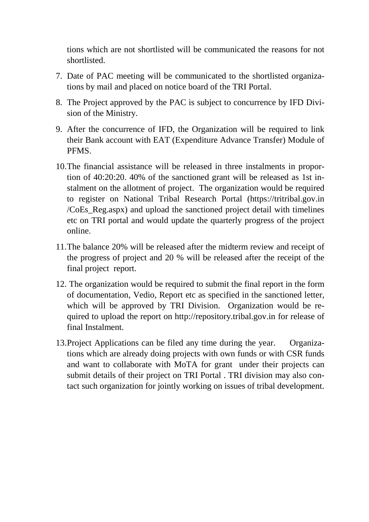tions which are not shortlisted will be communicated the reasons for not shortlisted.

- 7. Date of PAC meeting will be communicated to the shortlisted organizations by mail and placed on notice board of the TRI Portal.
- 8. The Project approved by the PAC is subject to concurrence by IFD Division of the Ministry.
- 9. After the concurrence of IFD, the Organization will be required to link their Bank account with EAT (Expenditure Advance Transfer) Module of PFMS.
- 10.The financial assistance will be released in three instalments in proportion of 40:20:20. 40% of the sanctioned grant will be released as 1st instalment on the allotment of project. The organization would be required to register on National Tribal Research Portal (https://tritribal.gov.in /CoEs\_Reg.aspx) and upload the sanctioned project detail with timelines etc on TRI portal and would update the quarterly progress of the project online.
- 11.The balance 20% will be released after the midterm review and receipt of the progress of project and 20 % will be released after the receipt of the final project report.
- 12. The organization would be required to submit the final report in the form of documentation, Vedio, Report etc as specified in the sanctioned letter, which will be approved by TRI Division. Organization would be required to upload the report on http://repository.tribal.gov.in for release of final Instalment.
- 13.Project Applications can be filed any time during the year. Organizations which are already doing projects with own funds or with CSR funds and want to collaborate with MoTA for grant under their projects can submit details of their project on TRI Portal . TRI division may also contact such organization for jointly working on issues of tribal development.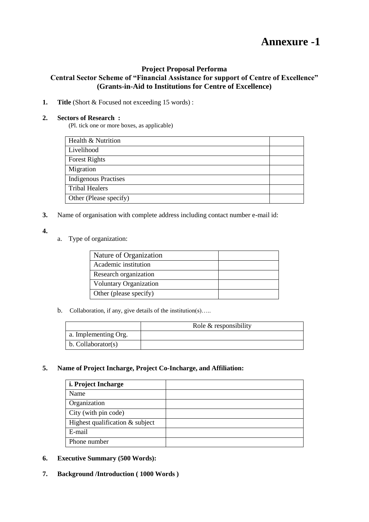# **Annexure -1**

## **Project Proposal Performa**

## **Central Sector Scheme of "Financial Assistance for support of Centre of Excellence" (Grants-in-Aid to Institutions for Centre of Excellence)**

**1. Title** (Short & Focused not exceeding 15 words) :

#### **2. Sectors of Research :**

(Pl. tick one or more boxes, as applicable)

| Health & Nutrition          |  |
|-----------------------------|--|
| Livelihood                  |  |
| <b>Forest Rights</b>        |  |
| Migration                   |  |
| <b>Indigenous Practises</b> |  |
| <b>Tribal Healers</b>       |  |
| Other (Please specify)      |  |

**3.** Name of organisation with complete address including contact number e-mail id:

### **4.**

a. Type of organization:

| Nature of Organization        |  |
|-------------------------------|--|
| Academic institution          |  |
| Research organization         |  |
| <b>Voluntary Organization</b> |  |
| Other (please specify)        |  |

b. Collaboration, if any, give details of the institution(s).....

|                      | Role & responsibility |
|----------------------|-----------------------|
| a. Implementing Org. |                       |
| b. Collaborator(s)   |                       |

#### **5. Name of Project Incharge, Project Co-Incharge, and Affiliation:**

| <i>i. Project Incharge</i>      |  |
|---------------------------------|--|
| Name                            |  |
| Organization                    |  |
| City (with pin code)            |  |
| Highest qualification & subject |  |
| E-mail                          |  |
| Phone number                    |  |

- **6. Executive Summary (500 Words):**
- **7. Background /Introduction ( 1000 Words )**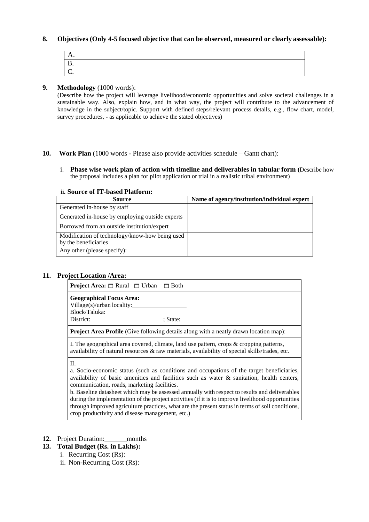#### **8. Objectives (Only 4-5 focused objective that can be observed, measured or clearly assessable):**

#### **9. Methodology** (1000 words):

(Describe how the project will leverage livelihood/economic opportunities and solve societal challenges in a sustainable way. Also, explain how, and in what way, the project will contribute to the advancement of knowledge in the subject/topic. Support with defined steps/relevant process details, e.g., flow chart, model, survey procedures, - as applicable to achieve the stated objectives)

#### **10. Work Plan** (1000 words - Please also provide activities schedule – Gantt chart):

i. **Phase wise work plan of action with timeline and deliverables in tabular form (**Describe how the proposal includes a plan for pilot application or trial in a realistic tribal environment)

#### **ii. Source of IT-based Platform:**

| <b>Source</b>                                                          | Name of agency/institution/individual expert |
|------------------------------------------------------------------------|----------------------------------------------|
| Generated in-house by staff                                            |                                              |
| Generated in-house by employing outside experts                        |                                              |
| Borrowed from an outside institution/expert                            |                                              |
| Modification of technology/know-how being used<br>by the beneficiaries |                                              |
| Any other (please specify):                                            |                                              |

#### **11. Project Location /Area:**

| <b>Project Area:</b> $\Box$ Rural $\Box$ Urban $\Box$ Both       |                                                                                                                                                                                           |
|------------------------------------------------------------------|-------------------------------------------------------------------------------------------------------------------------------------------------------------------------------------------|
| <b>Geographical Focus Area:</b><br>Village(s)/ $urban$ locality: |                                                                                                                                                                                           |
|                                                                  | <b>Project Area Profile</b> (Give following details along with a neatly drawn location map):                                                                                              |
|                                                                  | I. The geographical area covered, climate, land use pattern, crops & cropping patterns,<br>availability of natural resources & raw materials, availability of special skills/trades, etc. |

II.

a. Socio-economic status (such as conditions and occupations of the target beneficiaries, availability of basic amenities and facilities such as water  $\&$  sanitation, health centers, communication, roads, marketing facilities.

b. Baseline datasheet which may be assessed annually with respect to results and deliverables during the implementation of the project activities (if it is to improve livelihood opportunities through improved agriculture practices, what are the present status in terms of soil conditions, crop productivity and disease management, etc.)

- **12.** Project Duration: months
- **13. Total Budget (Rs. in Lakhs):**
	- i. Recurring Cost (Rs):
	- ii. Non-Recurring Cost (Rs):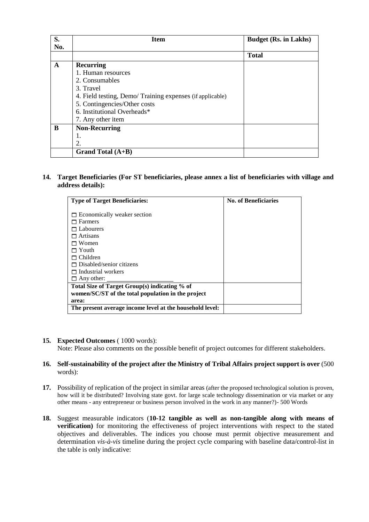| S.  | <b>Item</b>                                               | <b>Budget (Rs. in Lakhs)</b> |
|-----|-----------------------------------------------------------|------------------------------|
| No. |                                                           |                              |
|     |                                                           | <b>Total</b>                 |
| A   | <b>Recurring</b>                                          |                              |
|     | 1. Human resources                                        |                              |
|     | 2. Consumables                                            |                              |
|     | 3. Travel                                                 |                              |
|     | 4. Field testing, Demo/ Training expenses (if applicable) |                              |
|     | 5. Contingencies/Other costs                              |                              |
|     | 6. Institutional Overheads*                               |                              |
|     | 7. Any other item                                         |                              |
| B   | <b>Non-Recurring</b>                                      |                              |
|     | Ι.                                                        |                              |
|     | 2.                                                        |                              |
|     | Grand Total $(A+B)$                                       |                              |

**14. Target Beneficiaries (For ST beneficiaries, please annex a list of beneficiaries with village and address details):**

| <b>Type of Target Beneficiaries:</b>                     | <b>No. of Beneficiaries</b> |
|----------------------------------------------------------|-----------------------------|
|                                                          |                             |
| Economically weaker section                              |                             |
| Farmers                                                  |                             |
| Labourers                                                |                             |
| Artisans                                                 |                             |
| Women                                                    |                             |
| Youth                                                    |                             |
| Children                                                 |                             |
| Disabled/senior citizens                                 |                             |
| Industrial workers                                       |                             |
| $\Box$ Any other:                                        |                             |
| Total Size of Target Group(s) indicating % of            |                             |
| women/SC/ST of the total population in the project       |                             |
| area:                                                    |                             |
| The present average income level at the household level: |                             |

#### **15. Expected Outcomes** ( 1000 words):

Note: Please also comments on the possible benefit of project outcomes for different stakeholders.

#### **16. Self-sustainability of the project after the Ministry of Tribal Affairs project support is over** (500 words):

- **17.** Possibility of replication of the project in similar areas (after the proposed technological solution is proven, how will it be distributed? Involving state govt. for large scale technology dissemination or via market or any other means - any entrepreneur or business person involved in the work in any manner?)- 500 Words
- **18.** Suggest measurable indicators (**10-12 tangible as well as non-tangible along with means of verification)** for monitoring the effectiveness of project interventions with respect to the stated objectives and deliverables. The indices you choose must permit objective measurement and determination *vis-à-vis* timeline during the project cycle comparing with baseline data/control-list in the table is only indicative: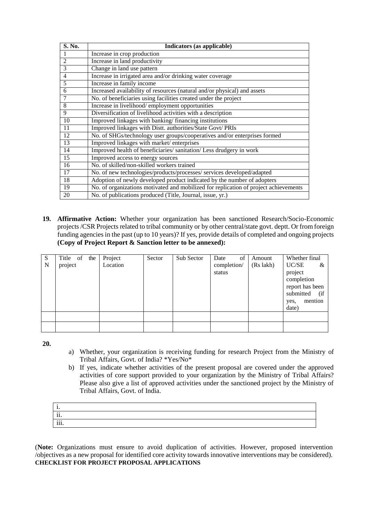| S. No.         | Indicators (as applicable)                                                           |  |  |
|----------------|--------------------------------------------------------------------------------------|--|--|
|                | Increase in crop production                                                          |  |  |
| $\overline{2}$ | Increase in land productivity                                                        |  |  |
| 3              | Change in land use pattern                                                           |  |  |
| $\overline{4}$ | Increase in irrigated area and/or drinking water coverage                            |  |  |
| 5              | Increase in family income                                                            |  |  |
| 6              | Increased availability of resources (natural and/or physical) and assets             |  |  |
| 7              | No. of beneficiaries using facilities created under the project                      |  |  |
| 8              | Increase in livelihood/employment opportunities                                      |  |  |
| 9              | Diversification of livelihood activities with a description                          |  |  |
| 10             | Improved linkages with banking/financing institutions                                |  |  |
| 11             | Improved linkages with Distt. authorities/State Govt/ PRIs                           |  |  |
| 12             | No. of SHGs/technology user groups/cooperatives and/or enterprises formed            |  |  |
| 13             | Improved linkages with market/enterprises                                            |  |  |
| 14             | Improved health of beneficiaries/sanitation/Less drudgery in work                    |  |  |
| 15             | Improved access to energy sources                                                    |  |  |
| 16             | No. of skilled/non-skilled workers trained                                           |  |  |
| 17             | No. of new technologies/products/processes/ services developed/adapted               |  |  |
| 18             | Adoption of newly developed product indicated by the number of adopters              |  |  |
| 19             | No. of organizations motivated and mobilized for replication of project achievements |  |  |
| 20             | No. of publications produced (Title, Journal, issue, yr.)                            |  |  |

**19. Affirmative Action:** Whether your organization has been sanctioned Research/Socio-Economic projects/CSR Projects related to tribal community or by other central/state govt. deptt. Or from foreign funding agencies in the past (up to 10 years)? If yes, provide details of completed and ongoing projects **(Copy of Project Report & Sanction letter to be annexed):**

| S | Title of the | Project  | Sector | Sub Sector | of<br>Date            | Amount    | Whether final                                                                  |
|---|--------------|----------|--------|------------|-----------------------|-----------|--------------------------------------------------------------------------------|
| N | project      | Location |        |            | completion/<br>status | (Rs lakh) | UC/SE<br>&<br>project                                                          |
|   |              |          |        |            |                       |           | completion<br>report has been<br>submitted<br>(ii)<br>mention<br>yes,<br>date) |
|   |              |          |        |            |                       |           |                                                                                |
|   |              |          |        |            |                       |           |                                                                                |

**20.**

- a) Whether, your organization is receiving funding for research Project from the Ministry of Tribal Affairs, Govt. of India? \*Yes/No\*
- b) If yes, indicate whether activities of the present proposal are covered under the approved activities of core support provided to your organization by the Ministry of Tribal Affairs? Please also give a list of approved activities under the sanctioned project by the Ministry of Tribal Affairs, Govt. of India.

| $\cdot$ $\cdot$<br>. |  |
|----------------------|--|
| $\frac{1}{2}$<br>    |  |

(**Note:** Organizations must ensure to avoid duplication of activities. However, proposed intervention /objectives as a new proposal for identified core activity towards innovative interventions may be considered). **CHECKLIST FOR PROJECT PROPOSAL APPLICATIONS**